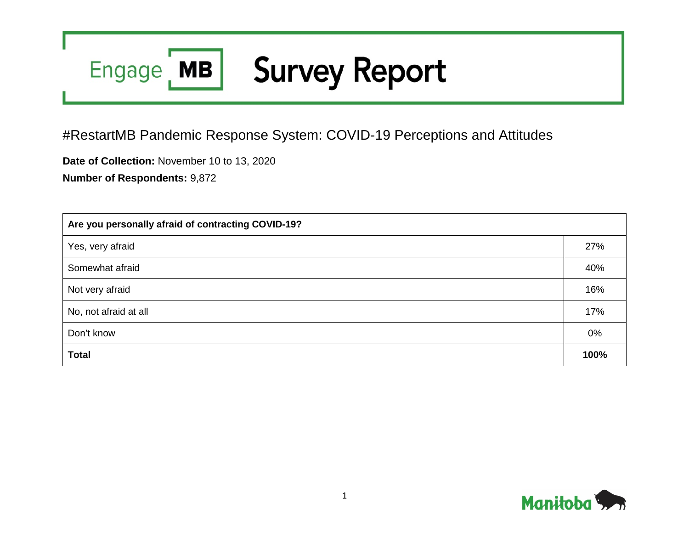## **Survey Report** Engage MB

## #RestartMB Pandemic Response System: COVID-19 Perceptions and Attitudes

**Date of Collection:** November 10 to 13, 2020

**Number of Respondents:** 9,872

| Are you personally afraid of contracting COVID-19? |       |  |  |  |
|----------------------------------------------------|-------|--|--|--|
| Yes, very afraid                                   | 27%   |  |  |  |
| Somewhat afraid                                    | 40%   |  |  |  |
| Not very afraid                                    | 16%   |  |  |  |
| No, not afraid at all                              | 17%   |  |  |  |
| Don't know                                         | $0\%$ |  |  |  |
| <b>Total</b>                                       | 100%  |  |  |  |

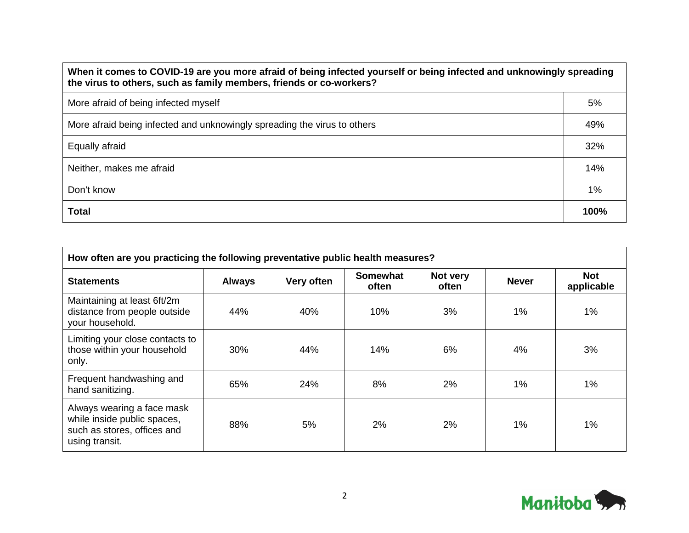| When it comes to COVID-19 are you more afraid of being infected yourself or being infected and unknowingly spreading<br>the virus to others, such as family members, friends or co-workers? |      |  |  |  |
|---------------------------------------------------------------------------------------------------------------------------------------------------------------------------------------------|------|--|--|--|
| More afraid of being infected myself                                                                                                                                                        | 5%   |  |  |  |
| More afraid being infected and unknowingly spreading the virus to others                                                                                                                    | 49%  |  |  |  |
| Equally afraid                                                                                                                                                                              | 32%  |  |  |  |
| Neither, makes me afraid                                                                                                                                                                    | 14%  |  |  |  |
| Don't know                                                                                                                                                                                  | 1%   |  |  |  |
| <b>Total</b>                                                                                                                                                                                | 100% |  |  |  |

| How often are you practicing the following preventative public health measures?                            |               |            |                          |                   |              |                          |
|------------------------------------------------------------------------------------------------------------|---------------|------------|--------------------------|-------------------|--------------|--------------------------|
| <b>Statements</b>                                                                                          | <b>Always</b> | Very often | <b>Somewhat</b><br>often | Not very<br>often | <b>Never</b> | <b>Not</b><br>applicable |
| Maintaining at least 6ft/2m<br>distance from people outside<br>your household.                             | 44%           | 40%        | 10%                      | 3%                | 1%           | 1%                       |
| Limiting your close contacts to<br>those within your household<br>only.                                    | 30%           | 44%        | 14%                      | 6%                | $4\%$        | 3%                       |
| Frequent handwashing and<br>hand sanitizing.                                                               | 65%           | 24%        | 8%                       | 2%                | 1%           | 1%                       |
| Always wearing a face mask<br>while inside public spaces,<br>such as stores, offices and<br>using transit. | 88%           | 5%         | 2%                       | 2%                | 1%           | 1%                       |

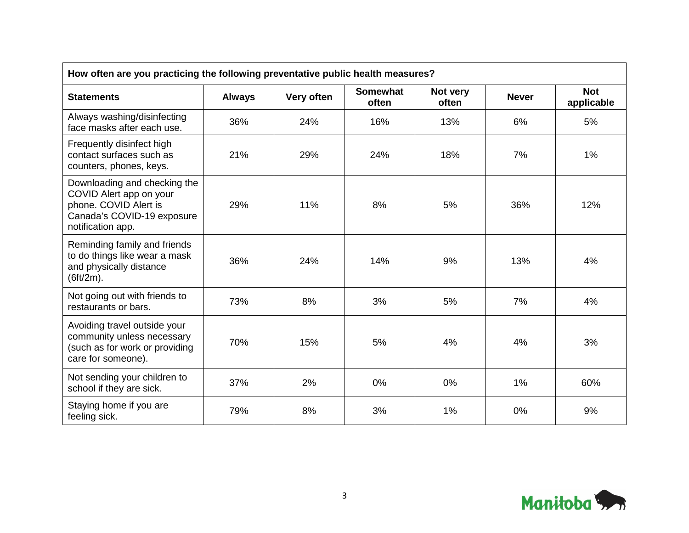| How often are you practicing the following preventative public health measures?                                                     |               |            |                          |                   |              |                          |
|-------------------------------------------------------------------------------------------------------------------------------------|---------------|------------|--------------------------|-------------------|--------------|--------------------------|
| <b>Statements</b>                                                                                                                   | <b>Always</b> | Very often | <b>Somewhat</b><br>often | Not very<br>often | <b>Never</b> | <b>Not</b><br>applicable |
| Always washing/disinfecting<br>face masks after each use.                                                                           | 36%           | 24%        | 16%                      | 13%               | 6%           | 5%                       |
| Frequently disinfect high<br>contact surfaces such as<br>counters, phones, keys.                                                    | 21%           | 29%        | 24%                      | 18%               | 7%           | 1%                       |
| Downloading and checking the<br>COVID Alert app on your<br>phone. COVID Alert is<br>Canada's COVID-19 exposure<br>notification app. | 29%           | 11%        | 8%                       | 5%                | 36%          | 12%                      |
| Reminding family and friends<br>to do things like wear a mask<br>and physically distance<br>(6ft/2m).                               | 36%           | 24%        | 14%                      | 9%                | 13%          | 4%                       |
| Not going out with friends to<br>restaurants or bars.                                                                               | 73%           | 8%         | 3%                       | 5%                | 7%           | 4%                       |
| Avoiding travel outside your<br>community unless necessary<br>(such as for work or providing<br>care for someone).                  | 70%           | 15%        | 5%                       | 4%                | 4%           | 3%                       |
| Not sending your children to<br>school if they are sick.                                                                            | 37%           | 2%         | 0%                       | 0%                | 1%           | 60%                      |
| Staying home if you are<br>feeling sick.                                                                                            | 79%           | 8%         | 3%                       | 1%                | 0%           | 9%                       |

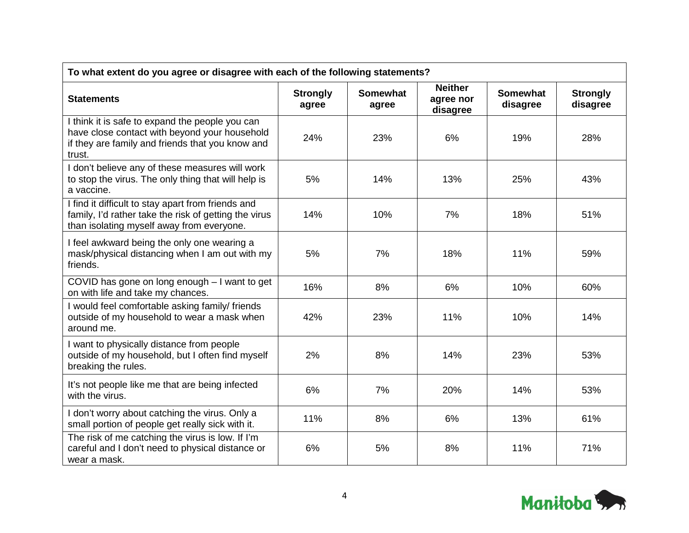| To what extent do you agree or disagree with each of the following statements?                                                                                 |                          |                          |                                         |                             |                             |
|----------------------------------------------------------------------------------------------------------------------------------------------------------------|--------------------------|--------------------------|-----------------------------------------|-----------------------------|-----------------------------|
| <b>Statements</b>                                                                                                                                              | <b>Strongly</b><br>agree | <b>Somewhat</b><br>agree | <b>Neither</b><br>agree nor<br>disagree | <b>Somewhat</b><br>disagree | <b>Strongly</b><br>disagree |
| I think it is safe to expand the people you can<br>have close contact with beyond your household<br>if they are family and friends that you know and<br>trust. | 24%                      | 23%                      | 6%                                      | 19%                         | 28%                         |
| I don't believe any of these measures will work<br>to stop the virus. The only thing that will help is<br>a vaccine.                                           | 5%                       | 14%                      | 13%                                     | 25%                         | 43%                         |
| I find it difficult to stay apart from friends and<br>family, I'd rather take the risk of getting the virus<br>than isolating myself away from everyone.       | 14%                      | 10%                      | 7%                                      | 18%                         | 51%                         |
| I feel awkward being the only one wearing a<br>mask/physical distancing when I am out with my<br>friends.                                                      | 5%                       | 7%                       | 18%                                     | 11%                         | 59%                         |
| COVID has gone on long enough - I want to get<br>on with life and take my chances.                                                                             | 16%                      | 8%                       | 6%                                      | 10%                         | 60%                         |
| I would feel comfortable asking family/ friends<br>outside of my household to wear a mask when<br>around me.                                                   | 42%                      | 23%                      | 11%                                     | 10%                         | 14%                         |
| I want to physically distance from people<br>outside of my household, but I often find myself<br>breaking the rules.                                           | 2%                       | 8%                       | 14%                                     | 23%                         | 53%                         |
| It's not people like me that are being infected<br>with the virus.                                                                                             | 6%                       | 7%                       | 20%                                     | 14%                         | 53%                         |
| I don't worry about catching the virus. Only a<br>small portion of people get really sick with it.                                                             | 11%                      | 8%                       | 6%                                      | 13%                         | 61%                         |
| The risk of me catching the virus is low. If I'm<br>careful and I don't need to physical distance or<br>wear a mask.                                           | 6%                       | 5%                       | 8%                                      | 11%                         | 71%                         |

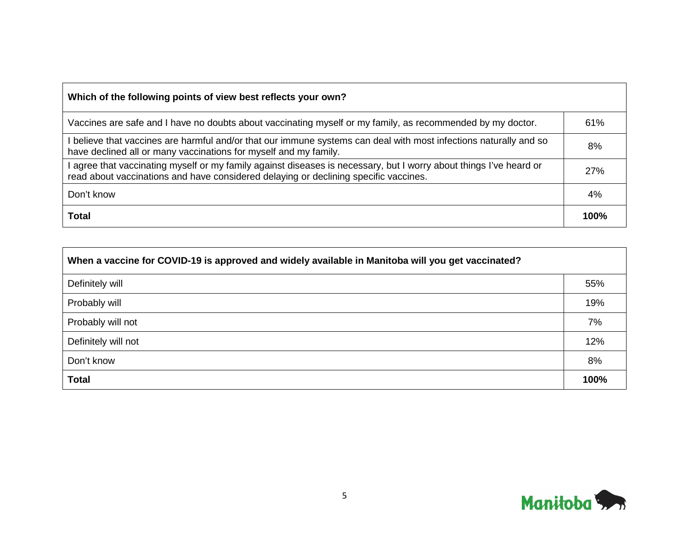| Which of the following points of view best reflects your own?                                                                                                                                            |      |
|----------------------------------------------------------------------------------------------------------------------------------------------------------------------------------------------------------|------|
| Vaccines are safe and I have no doubts about vaccinating myself or my family, as recommended by my doctor.                                                                                               | 61%  |
| believe that vaccines are harmful and/or that our immune systems can deal with most infections naturally and so<br>have declined all or many vaccinations for myself and my family.                      | 8%   |
| agree that vaccinating myself or my family against diseases is necessary, but I worry about things I've heard or<br>read about vaccinations and have considered delaying or declining specific vaccines. | 27%  |
| Don't know                                                                                                                                                                                               | 4%   |
| <b>Total</b>                                                                                                                                                                                             | 100% |

| When a vaccine for COVID-19 is approved and widely available in Manitoba will you get vaccinated? |      |  |  |  |  |
|---------------------------------------------------------------------------------------------------|------|--|--|--|--|
| Definitely will                                                                                   | 55%  |  |  |  |  |
| Probably will                                                                                     | 19%  |  |  |  |  |
| Probably will not                                                                                 | 7%   |  |  |  |  |
| Definitely will not                                                                               | 12%  |  |  |  |  |
| Don't know                                                                                        | 8%   |  |  |  |  |
| <b>Total</b>                                                                                      | 100% |  |  |  |  |

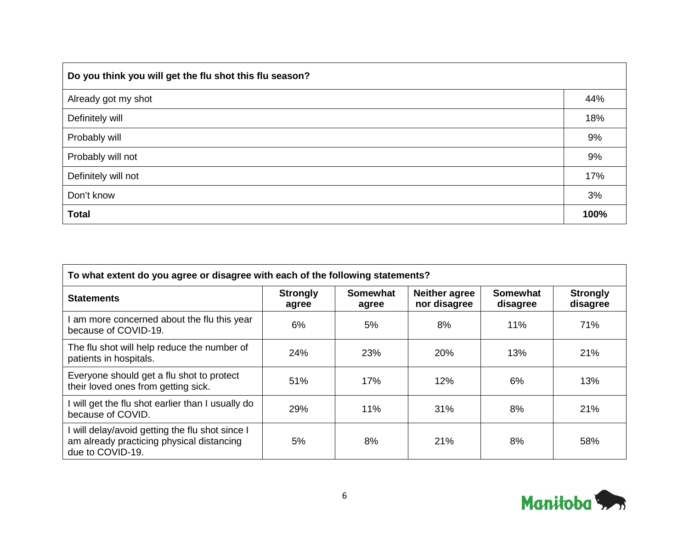| Do you think you will get the flu shot this flu season? |      |
|---------------------------------------------------------|------|
| Already got my shot                                     | 44%  |
| Definitely will                                         | 18%  |
| Probably will                                           | 9%   |
| Probably will not                                       | 9%   |
| Definitely will not                                     | 17%  |
| Don't know                                              | 3%   |
| <b>Total</b>                                            | 100% |

| To what extent do you agree or disagree with each of the following statements?                                 |                          |                   |                                      |                             |                             |
|----------------------------------------------------------------------------------------------------------------|--------------------------|-------------------|--------------------------------------|-----------------------------|-----------------------------|
| <b>Statements</b>                                                                                              | <b>Strongly</b><br>agree | Somewhat<br>agree | <b>Neither agree</b><br>nor disagree | <b>Somewhat</b><br>disagree | <b>Strongly</b><br>disagree |
| am more concerned about the flu this year<br>because of COVID-19.                                              | 6%                       | 5%                | 8%                                   | 11%                         | 71%                         |
| The flu shot will help reduce the number of<br>patients in hospitals.                                          | 24%                      | 23%               | 20%                                  | 13%                         | 21%                         |
| Everyone should get a flu shot to protect<br>their loved ones from getting sick.                               | 51%                      | 17%               | 12%                                  | 6%                          | 13%                         |
| will get the flu shot earlier than I usually do<br>because of COVID.                                           | 29%                      | 11%               | 31%                                  | 8%                          | 21%                         |
| will delay/avoid getting the flu shot since I<br>am already practicing physical distancing<br>due to COVID-19. | 5%                       | 8%                | 21%                                  | 8%                          | 58%                         |

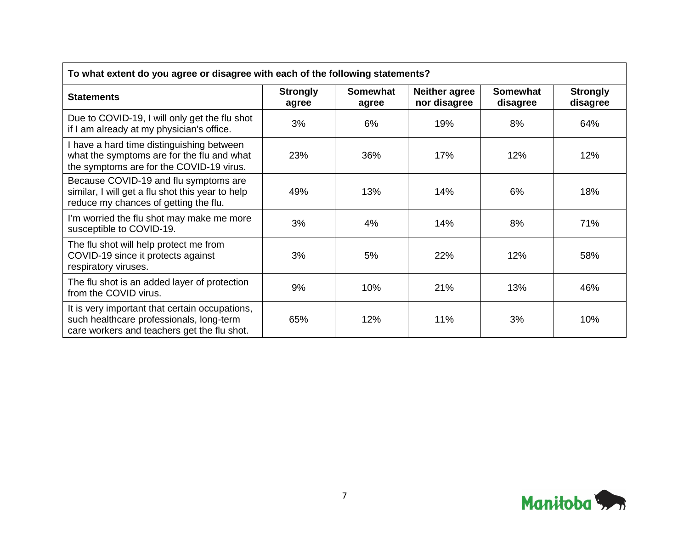| To what extent do you agree or disagree with each of the following statements?                                                            |                          |                          |                                      |                             |                             |  |
|-------------------------------------------------------------------------------------------------------------------------------------------|--------------------------|--------------------------|--------------------------------------|-----------------------------|-----------------------------|--|
| <b>Statements</b>                                                                                                                         | <b>Strongly</b><br>agree | <b>Somewhat</b><br>agree | <b>Neither agree</b><br>nor disagree | <b>Somewhat</b><br>disagree | <b>Strongly</b><br>disagree |  |
| Due to COVID-19, I will only get the flu shot<br>if I am already at my physician's office.                                                | 3%                       | 6%                       | 19%                                  | 8%                          | 64%                         |  |
| I have a hard time distinguishing between<br>what the symptoms are for the flu and what<br>the symptoms are for the COVID-19 virus.       | 23%                      | 36%                      | 17%                                  | 12%                         | 12%                         |  |
| Because COVID-19 and flu symptoms are<br>similar, I will get a flu shot this year to help<br>reduce my chances of getting the flu.        | 49%                      | 13%                      | 14%                                  | 6%                          | 18%                         |  |
| I'm worried the flu shot may make me more<br>susceptible to COVID-19.                                                                     | 3%                       | 4%                       | 14%                                  | 8%                          | 71%                         |  |
| The flu shot will help protect me from<br>COVID-19 since it protects against<br>respiratory viruses.                                      | 3%                       | 5%                       | 22%                                  | 12%                         | 58%                         |  |
| The flu shot is an added layer of protection<br>from the COVID virus.                                                                     | 9%                       | 10%                      | 21%                                  | 13%                         | 46%                         |  |
| It is very important that certain occupations,<br>such healthcare professionals, long-term<br>care workers and teachers get the flu shot. | 65%                      | 12%                      | 11%                                  | 3%                          | 10%                         |  |

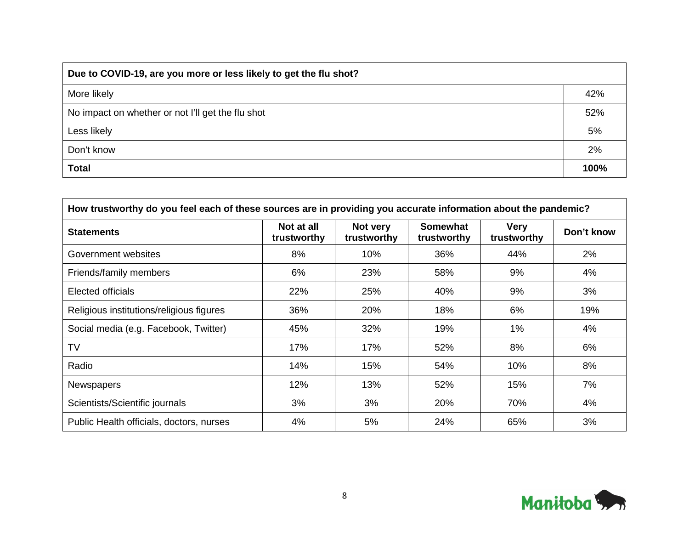| Due to COVID-19, are you more or less likely to get the flu shot? |      |  |  |  |
|-------------------------------------------------------------------|------|--|--|--|
| More likely                                                       | 42%  |  |  |  |
| No impact on whether or not I'll get the flu shot                 | 52%  |  |  |  |
| Less likely                                                       | 5%   |  |  |  |
| Don't know                                                        | 2%   |  |  |  |
| <b>Total</b>                                                      | 100% |  |  |  |

| How trustworthy do you feel each of these sources are in providing you accurate information about the pandemic? |                           |                         |                                |                            |            |  |
|-----------------------------------------------------------------------------------------------------------------|---------------------------|-------------------------|--------------------------------|----------------------------|------------|--|
| <b>Statements</b>                                                                                               | Not at all<br>trustworthy | Not very<br>trustworthy | <b>Somewhat</b><br>trustworthy | <b>Very</b><br>trustworthy | Don't know |  |
| Government websites                                                                                             | 8%                        | 10%                     | 36%                            | 44%                        | 2%         |  |
| Friends/family members                                                                                          | 6%                        | 23%                     | 58%                            | 9%                         | 4%         |  |
| Elected officials                                                                                               | 22%                       | 25%                     | 40%                            | 9%                         | 3%         |  |
| Religious institutions/religious figures                                                                        | 36%                       | 20%                     | 18%                            | 6%                         | 19%        |  |
| Social media (e.g. Facebook, Twitter)                                                                           | 45%                       | 32%                     | 19%                            | 1%                         | 4%         |  |
| TV                                                                                                              | 17%                       | 17%                     | 52%                            | 8%                         | 6%         |  |
| Radio                                                                                                           | 14%                       | 15%                     | 54%                            | 10%                        | 8%         |  |
| <b>Newspapers</b>                                                                                               | 12%                       | 13%                     | 52%                            | 15%                        | 7%         |  |
| Scientists/Scientific journals                                                                                  | 3%                        | 3%                      | 20%                            | 70%                        | 4%         |  |
| Public Health officials, doctors, nurses                                                                        | 4%                        | 5%                      | 24%                            | 65%                        | 3%         |  |

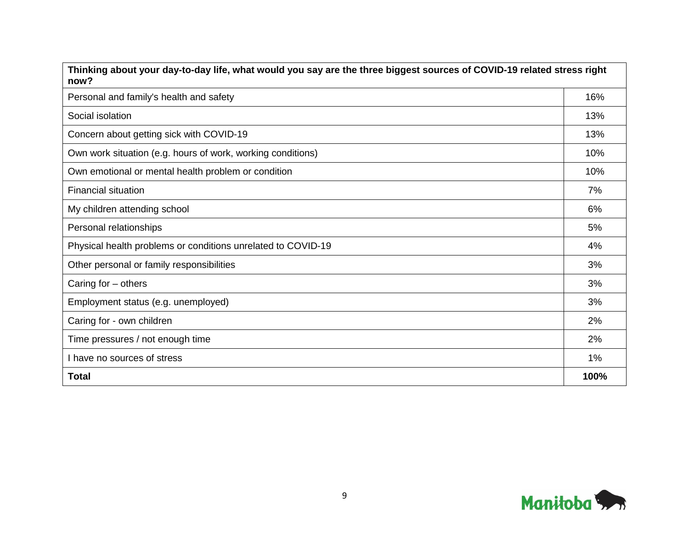| Thinking about your day-to-day life, what would you say are the three biggest sources of COVID-19 related stress right<br>now? |      |  |
|--------------------------------------------------------------------------------------------------------------------------------|------|--|
| Personal and family's health and safety                                                                                        | 16%  |  |
| Social isolation                                                                                                               | 13%  |  |
| Concern about getting sick with COVID-19                                                                                       | 13%  |  |
| Own work situation (e.g. hours of work, working conditions)                                                                    | 10%  |  |
| Own emotional or mental health problem or condition                                                                            | 10%  |  |
| <b>Financial situation</b>                                                                                                     | 7%   |  |
| My children attending school                                                                                                   | 6%   |  |
| Personal relationships                                                                                                         | 5%   |  |
| Physical health problems or conditions unrelated to COVID-19                                                                   | 4%   |  |
| Other personal or family responsibilities                                                                                      | 3%   |  |
| Caring for $-$ others                                                                                                          | 3%   |  |
| Employment status (e.g. unemployed)                                                                                            | 3%   |  |
| Caring for - own children                                                                                                      | 2%   |  |
| Time pressures / not enough time                                                                                               | 2%   |  |
| I have no sources of stress                                                                                                    | 1%   |  |
| Total                                                                                                                          | 100% |  |

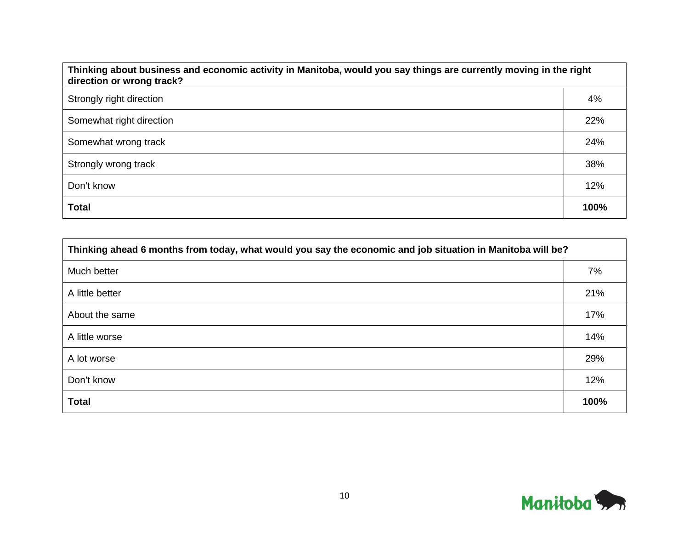| Thinking about business and economic activity in Manitoba, would you say things are currently moving in the right<br>direction or wrong track? |      |  |
|------------------------------------------------------------------------------------------------------------------------------------------------|------|--|
| Strongly right direction                                                                                                                       | 4%   |  |
| Somewhat right direction                                                                                                                       | 22%  |  |
| Somewhat wrong track                                                                                                                           | 24%  |  |
| Strongly wrong track                                                                                                                           | 38%  |  |
| Don't know                                                                                                                                     | 12%  |  |
| <b>Total</b>                                                                                                                                   | 100% |  |

| Thinking ahead 6 months from today, what would you say the economic and job situation in Manitoba will be? |      |  |
|------------------------------------------------------------------------------------------------------------|------|--|
| Much better                                                                                                | 7%   |  |
| A little better                                                                                            | 21%  |  |
| About the same                                                                                             | 17%  |  |
| A little worse                                                                                             | 14%  |  |
| A lot worse                                                                                                | 29%  |  |
| Don't know                                                                                                 | 12%  |  |
| <b>Total</b>                                                                                               | 100% |  |

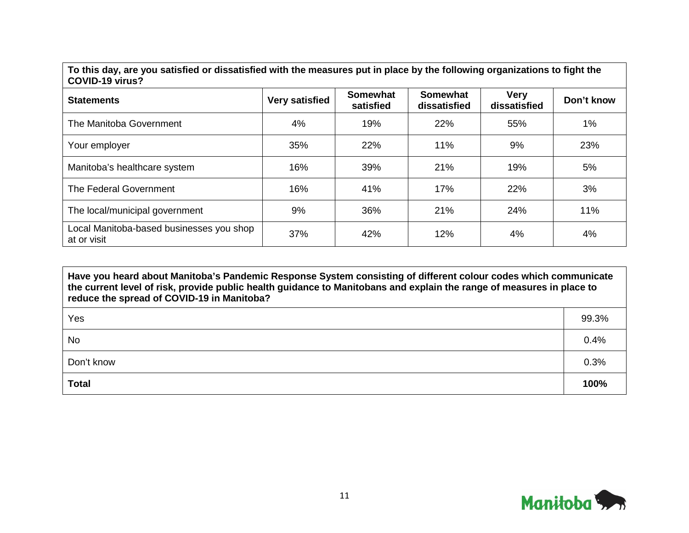**To this day, are you satisfied or dissatisfied with the measures put in place by the following organizations to fight the COVID-19 virus?**

| OU VID-IJ VII UJ :                                      |                       |                              |                                 |                             |            |
|---------------------------------------------------------|-----------------------|------------------------------|---------------------------------|-----------------------------|------------|
| <b>Statements</b>                                       | <b>Very satisfied</b> | <b>Somewhat</b><br>satisfied | <b>Somewhat</b><br>dissatisfied | <b>Very</b><br>dissatisfied | Don't know |
| The Manitoba Government                                 | 4%                    | 19%                          | 22%                             | 55%                         | 1%         |
| Your employer                                           | 35%                   | 22%                          | 11%                             | 9%                          | 23%        |
| Manitoba's healthcare system                            | 16%                   | 39%                          | 21%                             | 19%                         | 5%         |
| The Federal Government                                  | 16%                   | 41%                          | 17%                             | 22%                         | 3%         |
| The local/municipal government                          | 9%                    | 36%                          | 21%                             | 24%                         | 11%        |
| Local Manitoba-based businesses you shop<br>at or visit | 37%                   | 42%                          | 12%                             | 4%                          | 4%         |

**Have you heard about Manitoba's Pandemic Response System consisting of different colour codes which communicate the current level of risk, provide public health guidance to Manitobans and explain the range of measures in place to reduce the spread of COVID-19 in Manitoba?**

| Yes          | 99.3% |
|--------------|-------|
| No           | 0.4%  |
| Don't know   | 0.3%  |
| <b>Total</b> | 100%  |